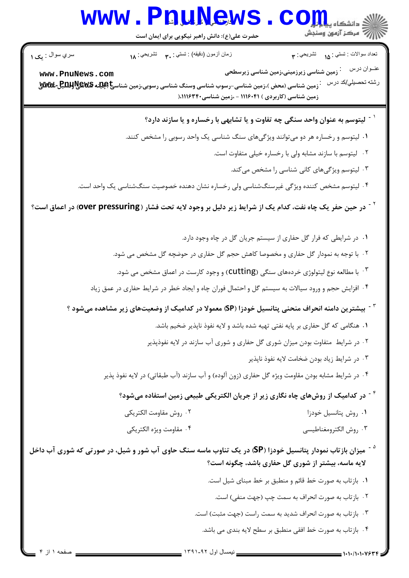

\_ نیمسال اول ۹۲-۱۳۹۱ \_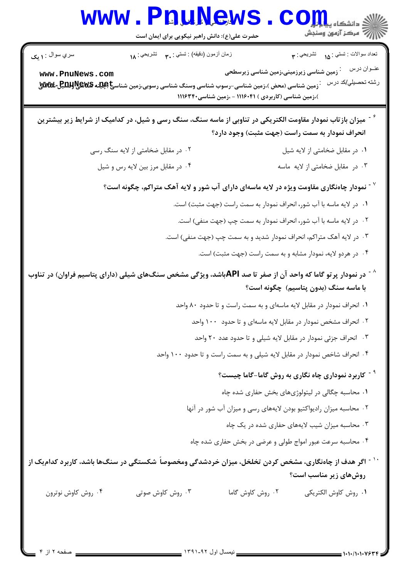| WWW                                                                                                                                                               | PUUNGWS<br>حضرت علی(ع): دانش راهبر نیکویی برای ایمان است       |                                        | دانشگاه پ <b>یای</b> ا<br>رِ آھرڪز آزمون وسنڊش                        |  |
|-------------------------------------------------------------------------------------------------------------------------------------------------------------------|----------------------------------------------------------------|----------------------------------------|-----------------------------------------------------------------------|--|
| سري سوال : ۱ يک                                                                                                                                                   | زمان أزمون (دقيقه) : تستي : ٩. تشريحي : ١٨                     |                                        | تعداد سوالات : تستي : ۱۵ <sup>0</sup> نشريحي : ۳                      |  |
| www.PnuNews.com<br>زمین شناسی (محض )،زمین شناسی-رسوب شناسی وسنگ شناسی رسوبی،زمین شناس <b>خ اچینه گیلانهای آپلیلنگی-XWEX</b> ق                                     | )،زمین شناسی (کاربردی ) ۱۱۱۶۰۴۱ - ،زمین شناسی۲۴۰(۱۱۱           | زمین شناسی زیرزمینی،زمین شناسی زیرسطحی | عنــوان درس<br>رشته تحصيلي/كد درس                                     |  |
| میزان بازتاب نمودار مقاومت الکتریکی در تناوبی از ماسه سنگ، سنگ رسی و شیل، در کدامیک از شرایط زیر بیشترین                                                          |                                                                |                                        | انحراف نمودار به سمت راست (جهت مثبت) وجود دارد؟                       |  |
| ۰۲ در مقابل ضخامتی از لایه سنگ رسی                                                                                                                                |                                                                |                                        | ٠١ در مقابل ضخامتي از لايه شيل                                        |  |
| ۰۴ در مقابل مرز بین لایه رس و شیل                                                                                                                                 |                                                                |                                        | ۰۳ در مقابل ضخامتی از لایه ماسه                                       |  |
| نمودار چاهنگاری مقاومت ویژه در لایه ماسهای دارای آب شور و لایه آهک متراکم، چگونه است؟ $^{\circ}$                                                                  |                                                                |                                        |                                                                       |  |
|                                                                                                                                                                   |                                                                |                                        | ۰۱ در لایه ماسه با آب شور، انحراف نمودار به سمت راست (جهت مثبت) است.  |  |
|                                                                                                                                                                   |                                                                |                                        | ۰۲ در لایه ماسه با آب شور، انحراف نمودار به سمت چپ (جهت منفی) است.    |  |
|                                                                                                                                                                   |                                                                |                                        | ۰۳ در لایه آهک متراکم، انحراف نمودار شدید و به سمت چپ (جهت منفی) است. |  |
|                                                                                                                                                                   |                                                                |                                        | ۰۴ در هردو لایه، نمودار مشابه و به سمت راست (جهت مثبت) است.           |  |
| <sup>^ -</sup> در نمودار پرتو گاما که واحد آن از صفر تا صد APIباشد، ویژگی مشخص سنگ@ای شیلی (دارای پتاسیم فراوان) در تناوب<br>با ماسه سنگ (بدون پتاسیم) چگونه است؟ |                                                                |                                        |                                                                       |  |
|                                                                                                                                                                   |                                                                |                                        | ۰۱ انحراف نمودار در مقابل لایه ماسهای و به سمت راست و تا حدود ۸۰ واحد |  |
| ۰۲ انحراف مشخص نمودار در مقابل لایه ماسهای و تا حدود ۱۰۰ واحد                                                                                                     |                                                                |                                        |                                                                       |  |
| ۰۳ انحراف جزئی نمودار در مقابل لایه شیلی و تا حدود عدد ۲۰ واحد                                                                                                    |                                                                |                                        |                                                                       |  |
| ۰۴ انحراف شاخص نمودار در مقابل لایه شیلی و به سمت راست و تا حدود ۱۰۰ واحد                                                                                         |                                                                |                                        |                                                                       |  |
|                                                                                                                                                                   | <sup>۹ -</sup> کاربرد نموداری چاه نگاری به روش گاما-گاما چیست؟ |                                        |                                                                       |  |
| ۰۱ محاسبه چگالی در لیتولوژیهای بخش حفاری شده چاه                                                                                                                  |                                                                |                                        |                                                                       |  |
| ۰۲ محاسبه میزان رادیواکتیو بودن لایههای رسی و میزان آب شور در آنها                                                                                                |                                                                |                                        |                                                                       |  |
| ۰۳ محاسبه میزان شیب لایههای حفاری شده در یک چاه                                                                                                                   |                                                                |                                        |                                                                       |  |
| ۰۴ محاسبه سرعت عبور امواج طولی و عرضی در بخش حفاری شده چاه                                                                                                        |                                                                |                                        |                                                                       |  |
| <sup>۱۰ -</sup> اگر هدف از چاهنگاری، مشخص کردن تخلخل، میزان خردشدگی ومخصوصاً شکستگی در سنگ0ا باشد، کاربرد کدامیک از                                               |                                                                |                                        | روشهای زیر مناسب است؟                                                 |  |
| ۰۴ روش کاوش نوترون                                                                                                                                                | ۰۳ روش کاوش صوتی                                               | ٠٢ روش كاوش گاما                       | ٠١. روش كاوش الكتريكي                                                 |  |
|                                                                                                                                                                   |                                                                |                                        |                                                                       |  |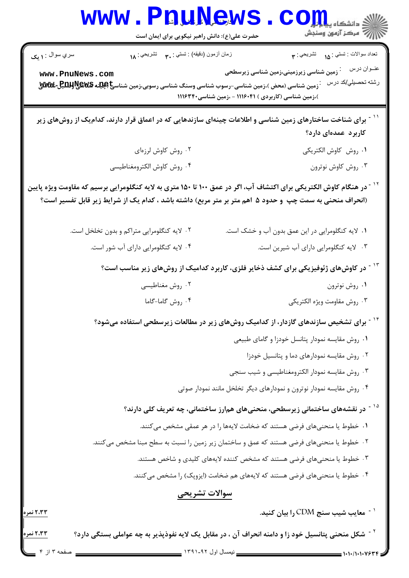|                  | <b>WWW.PRUNEWS</b><br>حضرت علی(ع): دانش راهبر نیکویی برای ایمان است                                             |                                                      | $\text{C}$ Oill, $\text{C}$<br>أأزاته مركز آزمون وسنجش                                                                                                                                                                                     |
|------------------|-----------------------------------------------------------------------------------------------------------------|------------------------------------------------------|--------------------------------------------------------------------------------------------------------------------------------------------------------------------------------------------------------------------------------------------|
| سري سوال : ۱ يک  | زمان أزمون (دقيقه) : تستي : ٣. تشريحي : ١٨                                                                      |                                                      | تعداد سوالات : تستي : <sub>1۵</sub> تشريحي : ۳                                                                                                                                                                                             |
| www.PnuNews.com  | َ زمین شناسی (محض )،زمین شناسی-رسوب شناسی وسنگ شناسی رسوبی،زمین شناس <b>چ اِچلِید کلیلی پیللی استیل این است</b> | )،زمین شناسی (کاربردی ) ۱۱۱۶۰۴۱ - ،زمین شناسی۱۱۱۶۳۴۰ | عنــوان درس<br><sup>:</sup> زمین شناسی زیرزمینی،زمین شناسی زیرسطحی<br>رشته تحصيلي/كد درس                                                                                                                                                   |
|                  |                                                                                                                 |                                                      | <sup>۱ -</sup> برای شناخت ساختارهای زمین شناسی و اطلاعات چینهای سازندهایی که در اعماق قرار دارند، کدام <sub>ل</sub> ک از روشهای زیر                                                                                                        |
|                  |                                                                                                                 |                                                      | کاربرد عمدهای دارد؟                                                                                                                                                                                                                        |
|                  | ۰۲ روش کاوش لرزهای                                                                                              |                                                      | ۰۱ روش كاوش الكتريكي                                                                                                                                                                                                                       |
|                  | ۰۴ روش كاوش الكترومغناطيسي                                                                                      |                                                      | ۰۳ روش کاوش نوترون                                                                                                                                                                                                                         |
|                  |                                                                                                                 |                                                      | <sup>۱۲ -</sup> در هنگام کاوش الکتریکی برای اکتشاف آب، اگر در عمق ۱۰۰ تا ۱۵۰ متری به لایه کنگلومرایی برسیم که مقاومت ویژه پایین<br>(انحراف منحنی به سمت چپ و حدود ۵ اهم متر بر متر مربع) داشته باشد ، کدام یک از شرایط زیر قابل تفسیر است؟ |
|                  | ۰۲ لایه کنگلومرایی متراکم و بدون تخلخل است.                                                                     |                                                      | ۰۱ لایه کنگلومرایی در این عمق بدون آب و خشک است.                                                                                                                                                                                           |
|                  | ۰۴ لایه کنگلومرایی دارای آب شور است.                                                                            |                                                      | ۰۳ لایه کنگلومرایی دارای آب شیرین است.                                                                                                                                                                                                     |
|                  |                                                                                                                 |                                                      | <sup>۱۲ -</sup> در کاوشهای ژئوفیزیکی برای کشف ذخایر فلزی، کاربرد کدامیک از روشهای زیر مناسب است؟                                                                                                                                           |
|                  | ۰۲ روش مغناطیسی                                                                                                 |                                                      | ۰۱ روش نوترون                                                                                                                                                                                                                              |
|                  | ۰۴ روش گاما-گاما                                                                                                |                                                      | ۰۳ روش مقاومت ویژه الکتریکی                                                                                                                                                                                                                |
|                  |                                                                                                                 |                                                      | <sup>۱۴ -</sup> برای تشخیص سازندهای گازدار، از کدامیک روشهای زیر در مطالعات زیرسطحی استفاده میشود؟                                                                                                                                         |
|                  |                                                                                                                 |                                                      | ۰۱ روش مقایسه نمودار پتانسل خودزا و گامای طبیعی                                                                                                                                                                                            |
|                  |                                                                                                                 |                                                      | ۰۲ روش مقایسه نمودارهای دما و پتانسیل خودزا                                                                                                                                                                                                |
|                  |                                                                                                                 |                                                      | ۰۳ روش مقایسه نمودار الکترومغناطیسی و شیب سنجی                                                                                                                                                                                             |
|                  |                                                                                                                 |                                                      | ۰۴ روش مقایسه نمودار نوترون و نمودارهای دیگر تخلخل مانند نمودار صوتی                                                                                                                                                                       |
|                  |                                                                                                                 |                                                      | <sup>۱۵ -</sup> در نقشههای ساختمانی زیرسطحی، منحنیهای هم رز ساختمانی، چه تعریف کلی دارند؟                                                                                                                                                  |
|                  |                                                                                                                 |                                                      | <mark>۱</mark> . خطوط یا منحنیهای فرضی هستند که ضخامت لایهها را در هر عمقی مشخص میکنند.                                                                                                                                                    |
|                  |                                                                                                                 |                                                      | <sup>۲</sup> ۰ خطوط یا منحنیهای فرضی هستند که عمق و ساختمان زیر زمین را نسبت به سطح مبنا مشخص میکنند.                                                                                                                                      |
|                  |                                                                                                                 |                                                      | ۰۳ خطوط یا منحنیهای فرضی هستند که مشخص کننده لایههای کلیدی و شاخص هستند.                                                                                                                                                                   |
|                  |                                                                                                                 |                                                      | ۰۴ خطوط یا منحنیهای فرضی هستند که لایههای هم ضخامت (ایزوپک) را مشخص میکنند.                                                                                                                                                                |
|                  | سوالات تشريحى                                                                                                   |                                                      |                                                                                                                                                                                                                                            |
| ۲،۳۳ نمره        |                                                                                                                 |                                                      | معایب شیب سنج CDM را بیان کنید. $^{\text{-}}$                                                                                                                                                                                              |
| <u>۲،۳۳ نمره</u> |                                                                                                                 |                                                      | <sup>۲ -</sup> شکل منحنی پتانسیل خود زا و دامنه انحراف آن ، در مقابل یک لایه نفوذپذیر به چه عواملی بستگی دارد؟                                                                                                                             |
| صفحه ۳ از ۴      |                                                                                                                 | - نیمسال اول ۹۲-۱۳۹۱                                 |                                                                                                                                                                                                                                            |